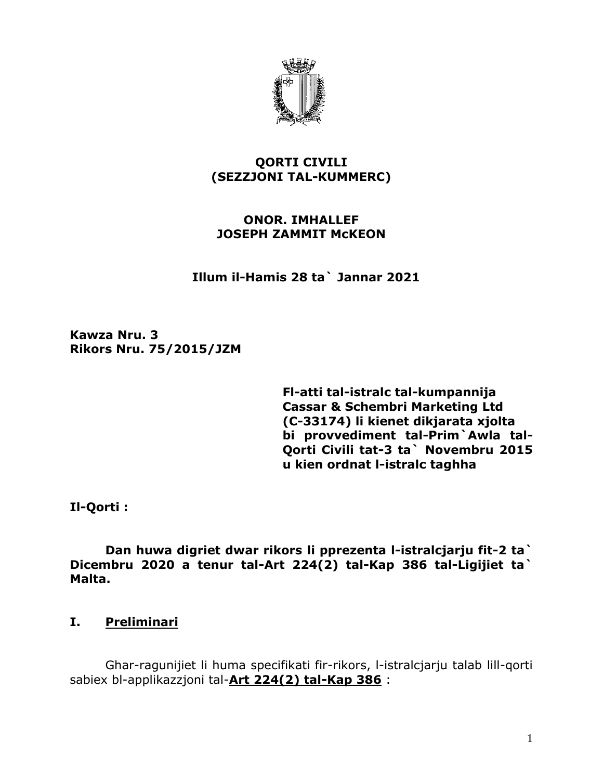

### **QORTI CIVILI (SEZZJONI TAL-KUMMERC)**

### **ONOR. IMHALLEF JOSEPH ZAMMIT McKEON**

 **Illum il-Hamis 28 ta` Jannar 2021**

**Kawza Nru. 3 Rikors Nru. 75/2015/JZM** 

> **Fl-atti tal-istralc tal-kumpannija Cassar & Schembri Marketing Ltd (C-33174) li kienet dikjarata xjolta bi provvediment tal-Prim`Awla tal-Qorti Civili tat-3 ta` Novembru 2015 u kien ordnat l-istralc taghha**

**Il-Qorti :**

**Dan huwa digriet dwar rikors li pprezenta l-istralcjarju fit-2 ta` Dicembru 2020 a tenur tal-Art 224(2) tal-Kap 386 tal-Ligijiet ta` Malta.**

# **I. Preliminari**

Ghar-ragunijiet li huma specifikati fir-rikors, l-istralcjarju talab lill-qorti sabiex bl-applikazzjoni tal-**Art 224(2) tal-Kap 386** :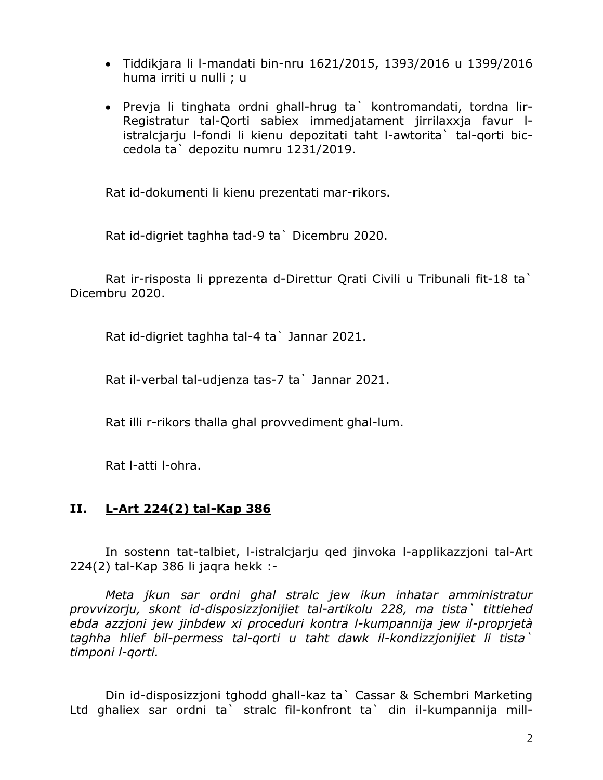- Tiddikjara li l-mandati bin-nru 1621/2015, 1393/2016 u 1399/2016 huma irriti u nulli ; u
- Prevja li tinghata ordni ghall-hrug ta` kontromandati, tordna lir-Registratur tal-Qorti sabiex immedjatament jirrilaxxja favur listralcjarju l-fondi li kienu depozitati taht l-awtorita` tal-qorti biccedola ta` depozitu numru 1231/2019.

Rat id-dokumenti li kienu prezentati mar-rikors.

Rat id-digriet taghha tad-9 ta` Dicembru 2020.

Rat ir-risposta li pprezenta d-Direttur Qrati Civili u Tribunali fit-18 ta` Dicembru 2020.

Rat id-digriet taghha tal-4 ta` Jannar 2021.

Rat il-verbal tal-udjenza tas-7 ta` Jannar 2021.

Rat illi r-rikors thalla ghal provvediment ghal-lum.

Rat l-atti l-ohra.

#### **II. L-Art 224(2) tal-Kap 386**

In sostenn tat-talbiet, l-istralcjarju qed jinvoka l-applikazzjoni tal-Art 224(2) tal-Kap 386 li jaqra hekk :-

*Meta jkun sar ordni ghal stralc jew ikun inhatar amministratur provvizorju, skont id-disposizzjonijiet tal-artikolu 228, ma tista` tittiehed ebda azzjoni jew jinbdew xi proceduri kontra l-kumpannija jew il-proprjetà taghha hlief bil-permess tal-qorti u taht dawk il-kondizzjonijiet li tista` timponi l-qorti.*

Din id-disposizzjoni tghodd ghall-kaz ta` Cassar & Schembri Marketing Ltd ghaliex sar ordni ta` stralc fil-konfront ta` din il-kumpannija mill-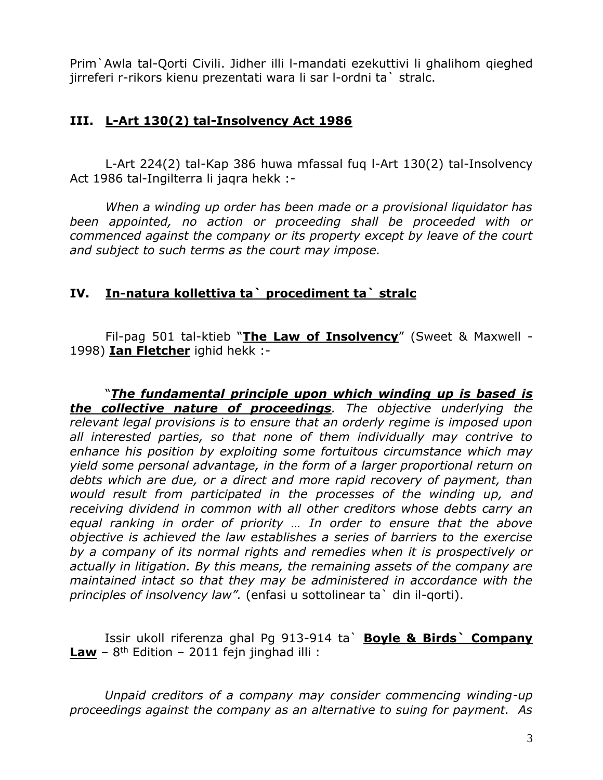Prim`Awla tal-Qorti Civili. Jidher illi l-mandati ezekuttivi li ghalihom qieghed jirreferi r-rikors kienu prezentati wara li sar l-ordni ta` stralc.

# **III. L-Art 130(2) tal-Insolvency Act 1986**

L-Art 224(2) tal-Kap 386 huwa mfassal fuq l-Art 130(2) tal-Insolvency Act 1986 tal-Ingilterra li jaqra hekk :-

*When a winding up order has been made or a provisional liquidator has been appointed, no action or proceeding shall be proceeded with or commenced against the company or its property except by leave of the court and subject to such terms as the court may impose.*

# **IV. In-natura kollettiva ta` procediment ta` stralc**

Fil-pag 501 tal-ktieb "**The Law of Insolvency**" (Sweet & Maxwell - 1998) **Ian Fletcher** ighid hekk :-

"*The fundamental principle upon which winding up is based is the collective nature of proceedings. The objective underlying the relevant legal provisions is to ensure that an orderly regime is imposed upon all interested parties, so that none of them individually may contrive to enhance his position by exploiting some fortuitous circumstance which may yield some personal advantage, in the form of a larger proportional return on debts which are due, or a direct and more rapid recovery of payment, than would result from participated in the processes of the winding up, and receiving dividend in common with all other creditors whose debts carry an equal ranking in order of priority … In order to ensure that the above objective is achieved the law establishes a series of barriers to the exercise by a company of its normal rights and remedies when it is prospectively or actually in litigation. By this means, the remaining assets of the company are maintained intact so that they may be administered in accordance with the principles of insolvency law".* (enfasi u sottolinear ta` din il-qorti).

Issir ukoll riferenza ghal Pg 913-914 ta` **Boyle & Birds` Company Law** – 8 th Edition – 2011 fejn jinghad illi :

*Unpaid creditors of a company may consider commencing winding-up proceedings against the company as an alternative to suing for payment. As*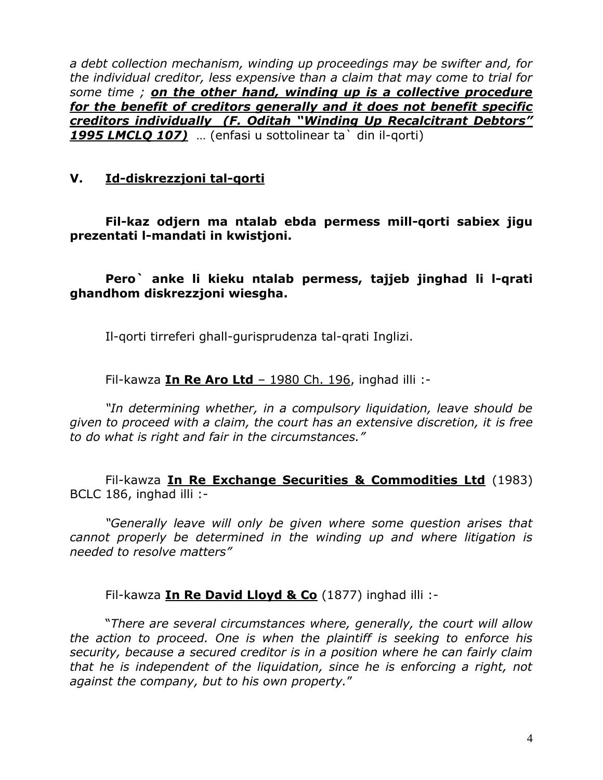*a debt collection mechanism, winding up proceedings may be swifter and, for the individual creditor, less expensive than a claim that may come to trial for some time ; on the other hand, winding up is a collective procedure for the benefit of creditors generally and it does not benefit specific creditors individually (F. Oditah "Winding Up Recalcitrant Debtors" 1995 LMCLQ 107)* … (enfasi u sottolinear ta` din il-qorti)

# **V. Id-diskrezzjoni tal-qorti**

**Fil-kaz odjern ma ntalab ebda permess mill-qorti sabiex jigu prezentati l-mandati in kwistjoni.**

**Pero` anke li kieku ntalab permess, tajjeb jinghad li l-qrati ghandhom diskrezzjoni wiesgha.**

Il-qorti tirreferi ghall-gurisprudenza tal-qrati Inglizi.

Fil-kawza **In Re Aro Ltd** – 1980 Ch. 196, inghad illi :-

*"In determining whether, in a compulsory liquidation, leave should be given to proceed with a claim, the court has an extensive discretion, it is free to do what is right and fair in the circumstances."*

Fil-kawza **In Re Exchange Securities & Commodities Ltd** (1983) BCLC 186, inghad illi :-

*"Generally leave will only be given where some question arises that cannot properly be determined in the winding up and where litigation is needed to resolve matters"* 

Fil-kawza **In Re David Lloyd & Co** (1877) inghad illi :-

"*There are several circumstances where, generally, the court will allow the action to proceed. One is when the plaintiff is seeking to enforce his security, because a secured creditor is in a position where he can fairly claim that he is independent of the liquidation, since he is enforcing a right, not against the company, but to his own property.*"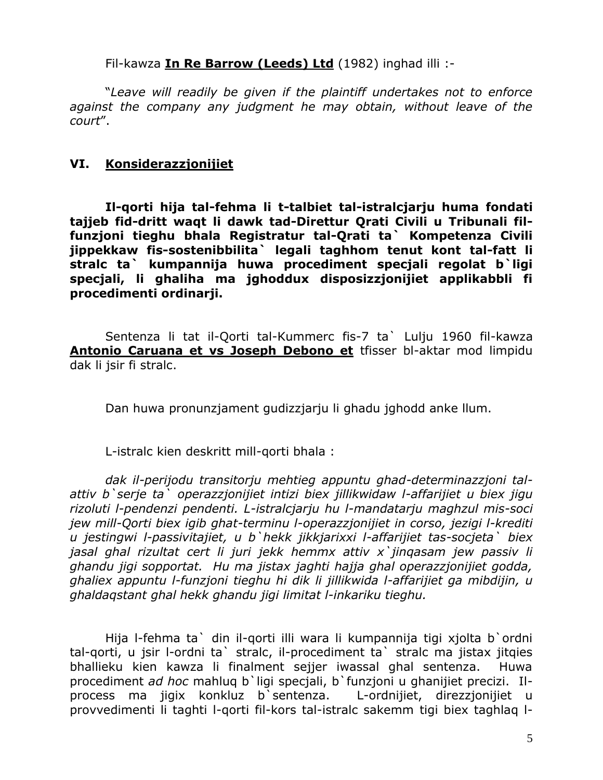Fil-kawza **In Re Barrow (Leeds) Ltd** (1982) inghad illi :-

"*Leave will readily be given if the plaintiff undertakes not to enforce against the company any judgment he may obtain, without leave of the court*".

#### **VI. Konsiderazzjonijiet**

**Il-qorti hija tal-fehma li t-talbiet tal-istralcjarju huma fondati tajjeb fid-dritt waqt li dawk tad-Direttur Qrati Civili u Tribunali filfunzjoni tieghu bhala Registratur tal-Qrati ta` Kompetenza Civili jippekkaw fis-sostenibbilita` legali taghhom tenut kont tal-fatt li stralc ta` kumpannija huwa procediment specjali regolat b`ligi specjali, li ghaliha ma jghoddux disposizzjonijiet applikabbli fi procedimenti ordinarji.**

Sentenza li tat il-Qorti tal-Kummerc fis-7 ta` Lulju 1960 fil-kawza **Antonio Caruana et vs Joseph Debono et** tfisser bl-aktar mod limpidu dak li jsir fi stralc.

Dan huwa pronunzjament gudizzjarju li ghadu jghodd anke llum.

L-istralc kien deskritt mill-qorti bhala :

*dak il-perijodu transitorju mehtieg appuntu ghad-determinazzjoni talattiv b`serje ta` operazzjonijiet intizi biex jillikwidaw l-affarijiet u biex jigu rizoluti l-pendenzi pendenti. L-istralcjarju hu l-mandatarju maghzul mis-soci jew mill-Qorti biex igib ghat-terminu l-operazzjonijiet in corso, jezigi l-krediti u jestingwi l-passivitajiet, u b`hekk jikkjarixxi l-affarijiet tas-socjeta` biex jasal ghal rizultat cert li juri jekk hemmx attiv x`jinqasam jew passiv li ghandu jigi sopportat. Hu ma jistax jaghti hajja ghal operazzjonijiet godda, ghaliex appuntu l-funzjoni tieghu hi dik li jillikwida l-affarijiet ga mibdijin, u ghaldaqstant ghal hekk ghandu jigi limitat l-inkariku tieghu.*

Hija l-fehma ta` din il-qorti illi wara li kumpannija tigi xjolta b`ordni tal-qorti, u jsir l-ordni ta` stralc, il-procediment ta` stralc ma jistax jitqies bhallieku kien kawza li finalment sejjer iwassal ghal sentenza. Huwa procediment *ad hoc* mahluq b`ligi specjali, b`funzjoni u ghanijiet precizi. Ilprocess ma jigix konkluz b`sentenza. L-ordnijiet, direzzjonijiet u provvedimenti li taghti l-qorti fil-kors tal-istralc sakemm tigi biex taghlaq l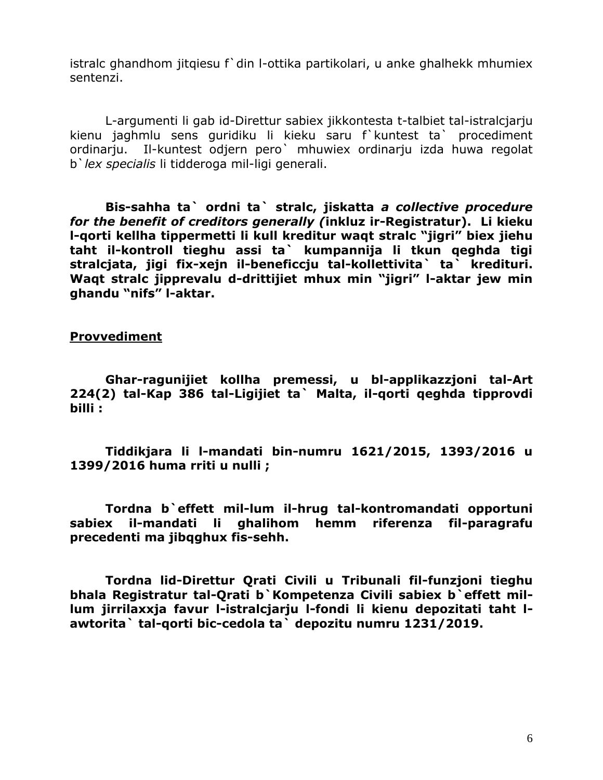istralc ghandhom jitqiesu f`din l-ottika partikolari, u anke ghalhekk mhumiex sentenzi.

L-argumenti li gab id-Direttur sabiex jikkontesta t-talbiet tal-istralcjarju kienu jaghmlu sens guridiku li kieku saru f`kuntest ta` procediment ordinarju. Il-kuntest odjern pero` mhuwiex ordinarju izda huwa regolat b`*lex specialis* li tidderoga mil-ligi generali.

**Bis-sahha ta` ordni ta` stralc, jiskatta** *a collective procedure for the benefit of creditors generally (***inkluz ir-Registratur). Li kieku l-qorti kellha tippermetti li kull kreditur waqt stralc "jigri" biex jiehu taht il-kontroll tieghu assi ta` kumpannija li tkun qeghda tigi stralcjata, jigi fix-xejn il-beneficcju tal-kollettivita` ta` kredituri. Waqt stralc jipprevalu d-drittijiet mhux min "jigri" l-aktar jew min ghandu "nifs" l-aktar.**

**Provvediment**

**Ghar-ragunijiet kollha premessi, u bl-applikazzjoni tal-Art 224(2) tal-Kap 386 tal-Ligijiet ta` Malta, il-qorti qeghda tipprovdi billi :**

**Tiddikjara li l-mandati bin-numru 1621/2015, 1393/2016 u 1399/2016 huma rriti u nulli ;** 

**Tordna b`effett mil-lum il-hrug tal-kontromandati opportuni sabiex il-mandati li ghalihom hemm riferenza fil-paragrafu precedenti ma jibqghux fis-sehh.**

**Tordna lid-Direttur Qrati Civili u Tribunali fil-funzjoni tieghu bhala Registratur tal-Qrati b`Kompetenza Civili sabiex b`effett millum jirrilaxxja favur l-istralcjarju l-fondi li kienu depozitati taht lawtorita` tal-qorti bic-cedola ta` depozitu numru 1231/2019.**